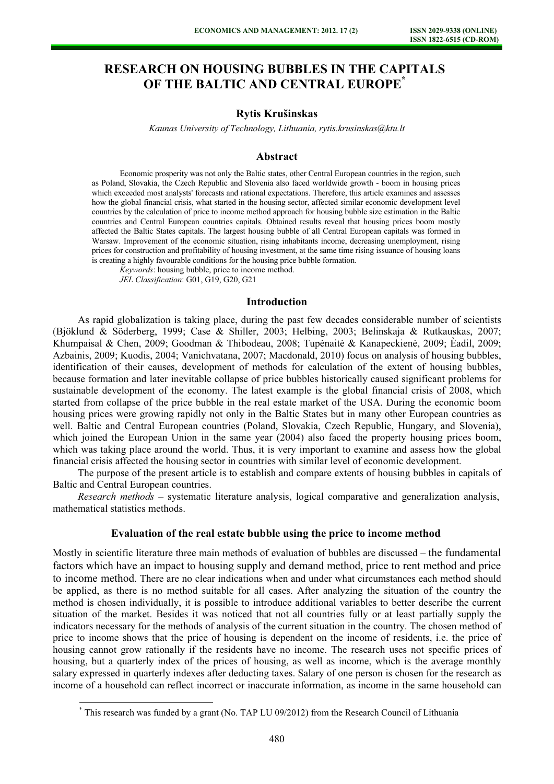# RESEARCH ON HOUSING BUBBLES IN THE CAPITALS OF THE BALTIC AND CENTRAL EUROPE<sup>\*</sup>

# Rytis Krušinskas

 $\mathcal{S}$  , the technology,  $\mathcal{S}$  and  $\mathcal{S}$ , returns and  $\mathcal{S}$  and  $\mathcal{S}$ .

### Abstract

Economic prosperity was not only the Baltic states, other Central European countries in the region, such as Poland, Slovakia, the Czech Republic and Slovenia also faced worldwide growth - boom in housing prices which exceeded most analysts' forecasts and rational expectations. Therefore, this article examines and assesses how the global financial crisis, what started in the housing sector, affected similar economic development level countries by the calculation of price to income method approach for housing bubble size estimation in the Baltic countries and Central European countries capitals. Obtained results reveal that housing prices boom mostly affected the Baltic States capitals. The largest housing bubble of all Central European capitals was formed in Warsaw. Improvement of the economic situation, rising inhabitants income, decreasing unemployment, rising prices for construction and profitability of housing investment, at the same time rising issuance of housing loans is creating a highly favourable conditions for the housing price bubble formation.

Keywords: housing bubble, price to income method.

JEL Classification: G01, G19, G20, G21

 $\overline{a}$ 

#### Introduction

As rapid globalization is taking place, during the past few decades considerable number of scientists (Bjöklund & Söderberg, 1999; Case & Shiller, 2003; Helbing, 2003; Belinskaja & Rutkauskas, 2007; Khumpaisal & Chen, 2009; Goodman & Thibodeau, 2008; Tupėnaitė & Kanapeckienė, 2009; Èadil, 2009; Azbainis, 2009; Kuodis, 2004; Vanichvatana, 2007; Macdonald, 2010) focus on analysis of housing bubbles, identification of their causes, development of methods for calculation of the extent of housing bubbles, because formation and later inevitable collapse of price bubbles historically caused significant problems for sustainable development of the economy. The latest example is the global financial crisis of 2008, which started from collapse of the price bubble in the real estate market of the USA. During the economic boom housing prices were growing rapidly not only in the Baltic States but in many other European countries as well. Baltic and Central European countries (Poland, Slovakia, Czech Republic, Hungary, and Slovenia), which joined the European Union in the same year (2004) also faced the property housing prices boom, which was taking place around the world. Thus, it is very important to examine and assess how the global financial crisis affected the housing sector in countries with similar level of economic development.

The purpose of the present article is to establish and compare extents of housing bubbles in capitals of Baltic and Central European countries.

Research methods – systematic literature analysis, logical comparative and generalization analysis, mathematical statistics methods.

#### Evaluation of the real estate bubble using the price to income method

Mostly in scientific literature three main methods of evaluation of bubbles are discussed – the fundamental factors which have an impact to housing supply and demand method, price to rent method and price to income method. There are no clear indications when and under what circumstances each method should be applied, as there is no method suitable for all cases. After analyzing the situation of the country the method is chosen individually, it is possible to introduce additional variables to better describe the current situation of the market. Besides it was noticed that not all countries fully or at least partially supply the indicators necessary for the methods of analysis of the current situation in the country. The chosen method of price to income shows that the price of housing is dependent on the income of residents, i.e. the price of housing cannot grow rationally if the residents have no income. The research uses not specific prices of housing, but a quarterly index of the prices of housing, as well as income, which is the average monthly salary expressed in quarterly indexes after deducting taxes. Salary of one person is chosen for the research as income of a household can reflect incorrect or inaccurate information, as income in the same household can

<sup>\*</sup> This research was funded by a grant (No. TAP LU 09/2012) from the Research Council of Lithuania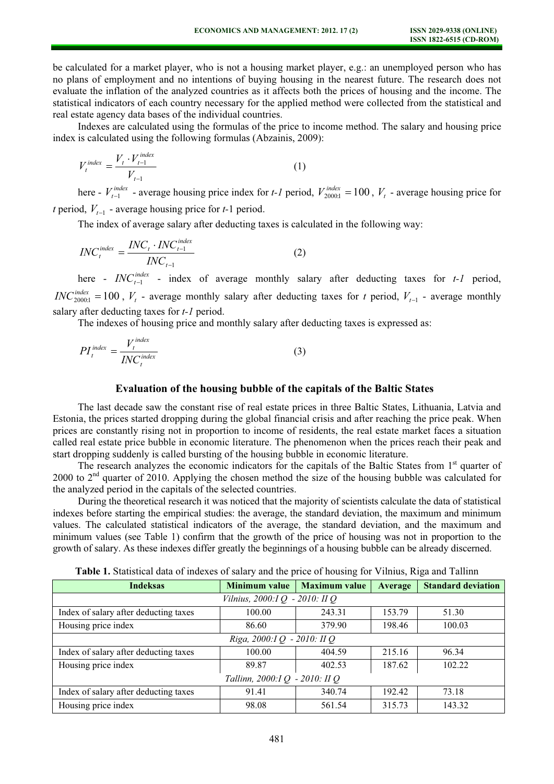be calculated for a market player, who is not a housing market player, e.g.: an unemployed person who has no plans of employment and no intentions of buying housing in the nearest future. The research does not evaluate the inflation of the analyzed countries as it affects both the prices of housing and the income. The statistical indicators of each country necessary for the applied method were collected from the statistical and real estate agency data bases of the individual countries.

Indexes are calculated using the formulas of the price to income method. The salary and housing price index is calculated using the following formulas (Abzainis, 2009):

$$
V_t^{index} = \frac{V_t \cdot V_{t-1}^{index}}{V_{t-1}}
$$
 (1)  
here -  $V_{t-1}^{index}$  - average housing price index for *t-1* period,  $V_{2000:1}^{index} = 100$ ,  $V_t$  - average housing price for

there  $-t_{t-1}^{index}$  - average housing price index for t-1 period.<br>t period,  $V_{t-1}$  - average housing price for t-1 period.

The index of average salary after deducting taxes is calculated in the following way:

$$
INCtindex = \frac{INCt \cdot INCt-1index}{INCt-1}
$$
 (2)  
here  $\frac{INCt-1index}{INCt-1} - index of average monthly salary after deducting taxes for t-1 period,$ 

 $INC_{2000:1}^{index} = 100$ ,  $V_t$  - average monthly salary after deducting taxes for t period,  $V_{t-1}$  - average monthly salary after deducting taxes for *t*-1 period.

The indexes of housing price and monthly salary after deducting taxes is expressed as:

$$
PI_t^{index} = \frac{V_t^{index}}{INC_t^{index}} \tag{3}
$$

### Evaluation of the housing bubble of the capitals of the Baltic States

The last decade saw the constant rise of real estate prices in three Baltic States, Lithuania, Latvia and Estonia, the prices started dropping during the global financial crisis and after reaching the price peak. When prices are constantly rising not in proportion to income of residents, the real estate market faces a situation called real estate price bubble in economic literature. The phenomenon when the prices reach their peak and start dropping suddenly is called bursting of the housing bubble in economic literature.

The research analyzes the economic indicators for the capitals of the Baltic States from 1<sup>st</sup> quarter of 2000 to 2<sup>nd</sup> quarter of 2010. Applying the chosen method the size of the housing bubble was calculated for the analyzed period in the capitals of the selected countries.

During the theoretical research it was noticed that the majority of scientists calculate the data of statistical indexes before starting the empirical studies: the average, the standard deviation, the maximum and minimum values. The calculated statistical indicators of the average, the standard deviation, and the maximum and minimum values (see Table 1) confirm that the growth of the price of housing was not in proportion to the growth of salary. As these indexes differ greatly the beginnings of a housing bubble can be already discerned.

| <b>Indeksas</b>                       | <b>Minimum value</b> | <b>Maximum value</b> | Average | <b>Standard deviation</b> |  |  |  |  |  |
|---------------------------------------|----------------------|----------------------|---------|---------------------------|--|--|--|--|--|
| Vilnius, 2000:I Q - 2010: II Q        |                      |                      |         |                           |  |  |  |  |  |
| Index of salary after deducting taxes | 100.00               | 243.31               | 153.79  | 51.30                     |  |  |  |  |  |
| Housing price index                   | 86.60                | 379.90               | 198.46  | 100.03                    |  |  |  |  |  |
| Riga, 2000:IQ - 2010: IIQ             |                      |                      |         |                           |  |  |  |  |  |
| Index of salary after deducting taxes | 100.00               | 404.59               | 215.16  | 96.34                     |  |  |  |  |  |
| Housing price index                   | 89.87                | 402.53               | 187.62  | 102.22                    |  |  |  |  |  |
| Tallinn, 2000:IQ - 2010: IIQ          |                      |                      |         |                           |  |  |  |  |  |
| Index of salary after deducting taxes | 91.41                | 340.74               | 192.42  | 73.18                     |  |  |  |  |  |
| Housing price index                   | 98.08                | 561.54               | 315.73  | 143.32                    |  |  |  |  |  |

Table 1. Statistical data of indexes of salary and the price of housing for Vilnius, Riga and Tallinn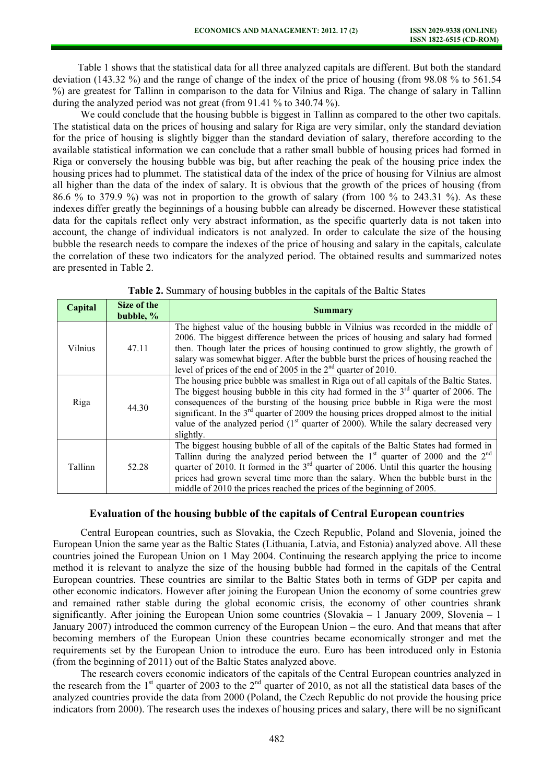Table 1 shows that the statistical data for all three analyzed capitals are different. But both the standard deviation (143.32 %) and the range of change of the index of the price of housing (from 98.08 % to 561.54 %) are greatest for Tallinn in comparison to the data for Vilnius and Riga. The change of salary in Tallinn during the analyzed period was not great (from 91.41 % to 340.74 %).

We could conclude that the housing bubble is biggest in Tallinn as compared to the other two capitals. The statistical data on the prices of housing and salary for Riga are very similar, only the standard deviation for the price of housing is slightly bigger than the standard deviation of salary, therefore according to the available statistical information we can conclude that a rather small bubble of housing prices had formed in Riga or conversely the housing bubble was big, but after reaching the peak of the housing price index the housing prices had to plummet. The statistical data of the index of the price of housing for Vilnius are almost all higher than the data of the index of salary. It is obvious that the growth of the prices of housing (from 86.6 % to 379.9 %) was not in proportion to the growth of salary (from 100 % to 243.31 %). As these indexes differ greatly the beginnings of a housing bubble can already be discerned. However these statistical data for the capitals reflect only very abstract information, as the specific quarterly data is not taken into account, the change of individual indicators is not analyzed. In order to calculate the size of the housing bubble the research needs to compare the indexes of the price of housing and salary in the capitals, calculate the correlation of these two indicators for the analyzed period. The obtained results and summarized notes are presented in Table 2.

| Capital | Size of the<br>bubble, % | <b>Summary</b>                                                                                                                                                                                                                                                                                                                                                                                                                                                        |
|---------|--------------------------|-----------------------------------------------------------------------------------------------------------------------------------------------------------------------------------------------------------------------------------------------------------------------------------------------------------------------------------------------------------------------------------------------------------------------------------------------------------------------|
| Vilnius | 47.11                    | The highest value of the housing bubble in Vilnius was recorded in the middle of<br>2006. The biggest difference between the prices of housing and salary had formed<br>then. Though later the prices of housing continued to grow slightly, the growth of<br>salary was somewhat bigger. After the bubble burst the prices of housing reached the<br>level of prices of the end of 2005 in the $2nd$ quarter of 2010.                                                |
| Riga    | 44.30                    | The housing price bubble was smallest in Riga out of all capitals of the Baltic States.<br>The biggest housing bubble in this city had formed in the $3rd$ quarter of 2006. The<br>consequences of the bursting of the housing price bubble in Riga were the most<br>significant. In the $3rd$ quarter of 2009 the housing prices dropped almost to the initial<br>value of the analyzed period $(1st$ quarter of 2000). While the salary decreased very<br>slightly. |
| Tallinn | 52.28                    | The biggest housing bubble of all of the capitals of the Baltic States had formed in<br>Tallinn during the analyzed period between the $1st$ quarter of 2000 and the $2nd$<br>quarter of 2010. It formed in the $3rd$ quarter of 2006. Until this quarter the housing<br>prices had grown several time more than the salary. When the bubble burst in the<br>middle of 2010 the prices reached the prices of the beginning of 2005.                                   |

Table 2. Summary of housing bubbles in the capitals of the Baltic States

#### Evaluation of the housing bubble of the capitals of Central European countries

Central European countries, such as Slovakia, the Czech Republic, Poland and Slovenia, joined the European Union the same year as the Baltic States (Lithuania, Latvia, and Estonia) analyzed above. All these countries joined the European Union on 1 May 2004. Continuing the research applying the price to income method it is relevant to analyze the size of the housing bubble had formed in the capitals of the Central European countries. These countries are similar to the Baltic States both in terms of GDP per capita and other economic indicators. However after joining the European Union the economy of some countries grew and remained rather stable during the global economic crisis, the economy of other countries shrank significantly. After joining the European Union some countries (Slovakia  $-1$  January 2009, Slovenia  $-1$ ) January 2007) introduced the common currency of the European Union – the euro. And that means that after becoming members of the European Union these countries became economically stronger and met the requirements set by the European Union to introduce the euro. Euro has been introduced only in Estonia (from the beginning of 2011) out of the Baltic States analyzed above.

The research covers economic indicators of the capitals of the Central European countries analyzed in the research from the  $1<sup>st</sup>$  quarter of 2003 to the  $2<sup>nd</sup>$  quarter of 2010, as not all the statistical data bases of the analyzed countries provide the data from 2000 (Poland, the Czech Republic do not provide the housing price indicators from 2000). The research uses the indexes of housing prices and salary, there will be no significant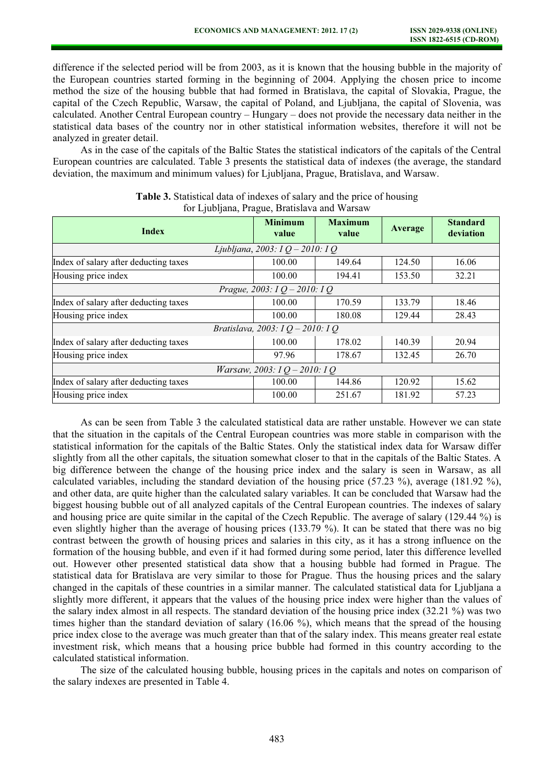difference if the selected period will be from 2003, as it is known that the housing bubble in the majority of the European countries started forming in the beginning of 2004. Applying the chosen price to income method the size of the housing bubble that had formed in Bratislava, the capital of Slovakia, Prague, the capital of the Czech Republic, Warsaw, the capital of Poland, and Ljubljana, the capital of Slovenia, was calculated. Another Central European country – Hungary – does not provide the necessary data neither in the statistical data bases of the country nor in other statistical information websites, therefore it will not be analyzed in greater detail.

As in the case of the capitals of the Baltic States the statistical indicators of the capitals of the Central European countries are calculated. Table 3 presents the statistical data of indexes (the average, the standard deviation, the maximum and minimum values) for Ljubljana, Prague, Bratislava, and Warsaw.

| <b>Index</b>                          | <b>Minimum</b><br>value | <b>Maximum</b><br>value | Average | <b>Standard</b><br>deviation |  |  |  |  |  |
|---------------------------------------|-------------------------|-------------------------|---------|------------------------------|--|--|--|--|--|
| Ljubljana, 2003: I Q - 2010: I Q      |                         |                         |         |                              |  |  |  |  |  |
| Index of salary after deducting taxes | 100.00                  | 149.64                  | 124.50  | 16.06                        |  |  |  |  |  |
| Housing price index                   | 100.00                  | 194.41                  | 153.50  | 32.21                        |  |  |  |  |  |
| Prague, 2003: I Q - 2010: I Q         |                         |                         |         |                              |  |  |  |  |  |
| Index of salary after deducting taxes | 100.00                  | 170.59                  | 133.79  | 18.46                        |  |  |  |  |  |
| Housing price index                   | 100.00                  | 180.08                  | 129.44  | 28.43                        |  |  |  |  |  |
| Bratislava, 2003: I Q - 2010: I Q     |                         |                         |         |                              |  |  |  |  |  |
| Index of salary after deducting taxes | 100.00                  | 178.02                  | 140.39  | 20.94                        |  |  |  |  |  |
| Housing price index                   | 97.96                   | 178.67                  | 132.45  | 26.70                        |  |  |  |  |  |
| <i>Warsaw, 2003: IQ - 2010: IQ</i>    |                         |                         |         |                              |  |  |  |  |  |
| Index of salary after deducting taxes | 100.00                  | 144.86                  | 120.92  | 15.62                        |  |  |  |  |  |
| Housing price index                   | 100.00                  | 251.67                  | 181.92  | 57.23                        |  |  |  |  |  |

#### Table 3. Statistical data of indexes of salary and the price of housing for Ljubljana, Prague, Bratislava and Warsaw

As can be seen from Table 3 the calculated statistical data are rather unstable. However we can state that the situation in the capitals of the Central European countries was more stable in comparison with the statistical information for the capitals of the Baltic States. Only the statistical index data for Warsaw differ slightly from all the other capitals, the situation somewhat closer to that in the capitals of the Baltic States. A big difference between the change of the housing price index and the salary is seen in Warsaw, as all calculated variables, including the standard deviation of the housing price (57.23 %), average (181.92 %), and other data, are quite higher than the calculated salary variables. It can be concluded that Warsaw had the biggest housing bubble out of all analyzed capitals of the Central European countries. The indexes of salary and housing price are quite similar in the capital of the Czech Republic. The average of salary (129.44 %) is even slightly higher than the average of housing prices (133.79 %). It can be stated that there was no big contrast between the growth of housing prices and salaries in this city, as it has a strong influence on the formation of the housing bubble, and even if it had formed during some period, later this difference levelled out. However other presented statistical data show that a housing bubble had formed in Prague. The statistical data for Bratislava are very similar to those for Prague. Thus the housing prices and the salary changed in the capitals of these countries in a similar manner. The calculated statistical data for Ljubljana a slightly more different, it appears that the values of the housing price index were higher than the values of the salary index almost in all respects. The standard deviation of the housing price index (32.21 %) was two times higher than the standard deviation of salary (16.06 %), which means that the spread of the housing price index close to the average was much greater than that of the salary index. This means greater real estate investment risk, which means that a housing price bubble had formed in this country according to the calculated statistical information.

The size of the calculated housing bubble, housing prices in the capitals and notes on comparison of the salary indexes are presented in Table 4.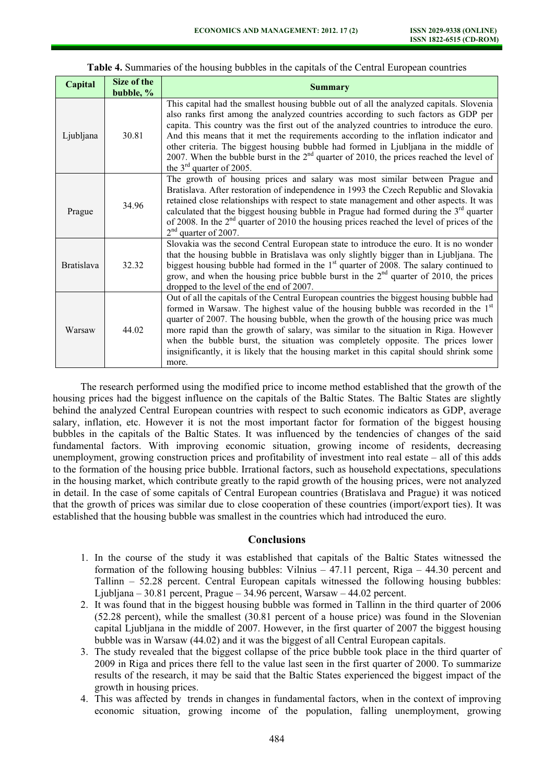#### Capital Size of the  $\begin{array}{c|c}\n\hline\n\text{blue} & \text{5he of the} \\
\text{bubble, } \% & \text{6he of the} \\
\hline\n\end{array}$ Ljubljana 30.81 This capital had the smallest housing bubble out of all the analyzed capitals. Slovenia also ranks first among the analyzed countries according to such factors as GDP per capita. This country was the first out of the analyzed countries to introduce the euro. And this means that it met the requirements according to the inflation indicator and other criteria. The biggest housing bubble had formed in Ljubljana in the middle of 2007. When the bubble burst in the  $2<sup>nd</sup>$  quarter of 2010, the prices reached the level of the  $3<sup>rd</sup>$  quarter of 2005. Prague 34.96 The growth of housing prices and salary was most similar between Prague and Bratislava. After restoration of independence in 1993 the Czech Republic and Slovakia retained close relationships with respect to state management and other aspects. It was calculated that the biggest housing bubble in Prague had formed during the  $3<sup>rd</sup>$  quarter of 2008. In the 2nd quarter of 2010 the housing prices reached the level of prices of the 2<sup>nd</sup> quarter of 2007. Bratislava 32.32 Slovakia was the second Central European state to introduce the euro. It is no wonder that the housing bubble in Bratislava was only slightly bigger than in Ljubljana. The biggest housing bubble had formed in the  $1<sup>st</sup>$  quarter of 2008. The salary continued to grow, and when the housing price bubble burst in the  $2<sup>nd</sup>$  quarter of 2010, the prices dropped to the level of the end of 2007. Warsaw 44.02 Out of all the capitals of the Central European countries the biggest housing bubble had formed in Warsaw. The highest value of the housing bubble was recorded in the  $1<sup>st</sup>$ quarter of 2007. The housing bubble, when the growth of the housing price was much more rapid than the growth of salary, was similar to the situation in Riga. However when the bubble burst, the situation was completely opposite. The prices lower insignificantly, it is likely that the housing market in this capital should shrink some more.

#### Table 4. Summaries of the housing bubbles in the capitals of the Central European countries

The research performed using the modified price to income method established that the growth of the housing prices had the biggest influence on the capitals of the Baltic States. The Baltic States are slightly behind the analyzed Central European countries with respect to such economic indicators as GDP, average salary, inflation, etc. However it is not the most important factor for formation of the biggest housing bubbles in the capitals of the Baltic States. It was influenced by the tendencies of changes of the said fundamental factors. With improving economic situation, growing income of residents, decreasing unemployment, growing construction prices and profitability of investment into real estate – all of this adds to the formation of the housing price bubble. Irrational factors, such as household expectations, speculations in the housing market, which contribute greatly to the rapid growth of the housing prices, were not analyzed in detail. In the case of some capitals of Central European countries (Bratislava and Prague) it was noticed that the growth of prices was similar due to close cooperation of these countries (import/export ties). It was established that the housing bubble was smallest in the countries which had introduced the euro.

#### **Conclusions**

- 1. In the course of the study it was established that capitals of the Baltic States witnessed the formation of the following housing bubbles: Vilnius  $-47.11$  percent, Riga  $-44.30$  percent and Tallinn – 52.28 percent. Central European capitals witnessed the following housing bubbles: Ljubljana – 30.81 percent, Prague – 34.96 percent, Warsaw – 44.02 percent.
- 2. It was found that in the biggest housing bubble was formed in Tallinn in the third quarter of 2006 (52.28 percent), while the smallest (30.81 percent of a house price) was found in the Slovenian capital Ljubljana in the middle of 2007. However, in the first quarter of 2007 the biggest housing bubble was in Warsaw (44.02) and it was the biggest of all Central European capitals.
- 3. The study revealed that the biggest collapse of the price bubble took place in the third quarter of 2009 in Riga and prices there fell to the value last seen in the first quarter of 2000. To summarize results of the research, it may be said that the Baltic States experienced the biggest impact of the growth in housing prices.
- 4. This was affected by trends in changes in fundamental factors, when in the context of improving economic situation, growing income of the population, falling unemployment, growing